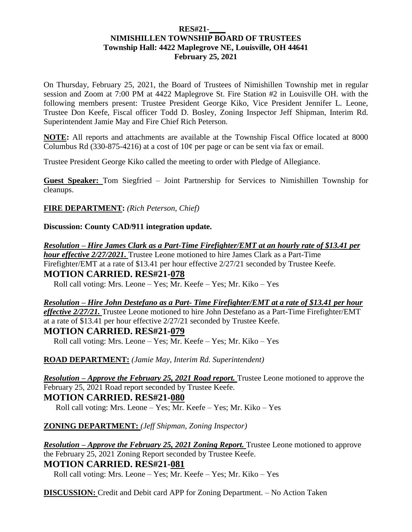#### **RES#21-\_\_\_\_ NIMISHILLEN TOWNSHIP BOARD OF TRUSTEES Township Hall: 4422 Maplegrove NE, Louisville, OH 44641 February 25, 2021**

On Thursday, February 25, 2021, the Board of Trustees of Nimishillen Township met in regular session and Zoom at 7:00 PM at 4422 Maplegrove St. Fire Station #2 in Louisville OH. with the following members present: Trustee President George Kiko, Vice President Jennifer L. Leone, Trustee Don Keefe, Fiscal officer Todd D. Bosley, Zoning Inspector Jeff Shipman, Interim Rd. Superintendent Jamie May and Fire Chief Rich Peterson.

**NOTE:** All reports and attachments are available at the Township Fiscal Office located at 8000 Columbus Rd (330-875-4216) at a cost of  $10¢$  per page or can be sent via fax or email.

Trustee President George Kiko called the meeting to order with Pledge of Allegiance.

**Guest Speaker:** Tom Siegfried – Joint Partnership for Services to Nimishillen Township for cleanups.

**FIRE DEPARTMENT:** *(Rich Peterson, Chief)*

**Discussion: County CAD/911 integration update.**

*Resolution – Hire James Clark as a Part-Time Firefighter/EMT at an hourly rate of \$13.41 per hour effective 2/27/2021.* Trustee Leone motioned to hire James Clark as a Part-Time Firefighter/EMT at a rate of \$13.41 per hour effective 2/27/21 seconded by Trustee Keefe. **MOTION CARRIED. RES#21-078**

Roll call voting: Mrs. Leone – Yes; Mr. Keefe – Yes; Mr. Kiko – Yes

*Resolution – Hire John Destefano as a Part- Time Firefighter/EMT at a rate of \$13.41 per hour effective 2/27/21.* Trustee Leone motioned to hire John Destefano as a Part-Time Firefighter/EMT at a rate of \$13.41 per hour effective 2/27/21 seconded by Trustee Keefe.

**MOTION CARRIED. RES#21-079** Roll call voting: Mrs. Leone – Yes; Mr. Keefe – Yes; Mr. Kiko – Yes

**ROAD DEPARTMENT:** *(Jamie May, Interim Rd. Superintendent)*

*Resolution – Approve the February 25, 2021 Road report.* Trustee Leone motioned to approve the February 25, 2021 Road report seconded by Trustee Keefe. **MOTION CARRIED. RES#21-080**

Roll call voting: Mrs. Leone – Yes; Mr. Keefe – Yes; Mr. Kiko – Yes

#### **ZONING DEPARTMENT:** *(Jeff Shipman, Zoning Inspector)*

*Resolution – Approve the February 25, 2021 Zoning Report.* Trustee Leone motioned to approve the February 25, 2021 Zoning Report seconded by Trustee Keefe.

**MOTION CARRIED. RES#21-081**

Roll call voting: Mrs. Leone – Yes; Mr. Keefe – Yes; Mr. Kiko – Yes

**DISCUSSION:** Credit and Debit card APP for Zoning Department. – No Action Taken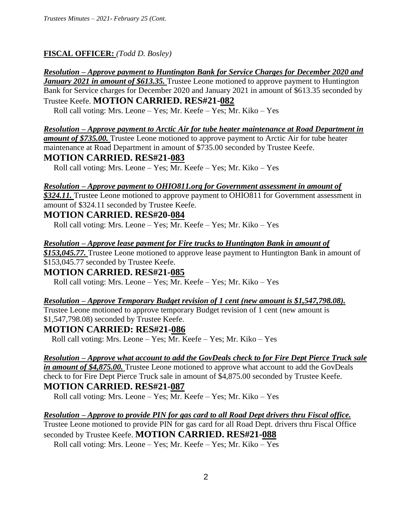## **FISCAL OFFICER:** *(Todd D. Bosley)*

#### *Resolution – Approve payment to Huntington Bank for Service Charges for December 2020 and*

*January 2021 in amount of \$613.35.* Trustee Leone motioned to approve payment to Huntington Bank for Service charges for December 2020 and January 2021 in amount of \$613.35 seconded by Trustee Keefe. **MOTION CARRIED. RES#21-082**

Roll call voting: Mrs. Leone – Yes; Mr. Keefe – Yes; Mr. Kiko – Yes

### *Resolution – Approve payment to Arctic Air for tube heater maintenance at Road Department in*

*amount of \$735.00.* Trustee Leone motioned to approve payment to Arctic Air for tube heater maintenance at Road Department in amount of \$735.00 seconded by Trustee Keefe.

## **MOTION CARRIED. RES#21-083**

Roll call voting: Mrs. Leone – Yes; Mr. Keefe – Yes; Mr. Kiko – Yes

## *Resolution – Approve payment to OHIO811.org for Government assessment in amount of*

*\$324.11.* Trustee Leone motioned to approve payment to OHIO811 for Government assessment in amount of \$324.11 seconded by Trustee Keefe.

## **MOTION CARRIED. RES#20-084**

Roll call voting: Mrs. Leone – Yes; Mr. Keefe – Yes; Mr. Kiko – Yes

#### *Resolution – Approve lease payment for Fire trucks to Huntington Bank in amount of*

*\$153,045.77.* Trustee Leone motioned to approve lease payment to Huntington Bank in amount of \$153,045.77 seconded by Trustee Keefe.

## **MOTION CARRIED. RES#21-085**

Roll call voting: Mrs. Leone – Yes; Mr. Keefe – Yes; Mr. Kiko – Yes

#### *Resolution – Approve Temporary Budget revision of 1 cent (new amount is \$1,547,798.08).*

Trustee Leone motioned to approve temporary Budget revision of 1 cent (new amount is \$1,547,798.08) seconded by Trustee Keefe.

## **MOTION CARRIED: RES#21-086**

Roll call voting: Mrs. Leone – Yes; Mr. Keefe – Yes; Mr. Kiko – Yes

## *Resolution – Approve what account to add the GovDeals check to for Fire Dept Pierce Truck sale*

*in amount of \$4,875.00.* Trustee Leone motioned to approve what account to add the GovDeals check to for Fire Dept Pierce Truck sale in amount of \$4,875.00 seconded by Trustee Keefe. **MOTION CARRIED. RES#21-087**

Roll call voting: Mrs. Leone – Yes; Mr. Keefe – Yes; Mr. Kiko – Yes

## *Resolution – Approve to provide PIN for gas card to all Road Dept drivers thru Fiscal office.*  Trustee Leone motioned to provide PIN for gas card for all Road Dept. drivers thru Fiscal Office seconded by Trustee Keefe. **MOTION CARRIED. RES#21-088**

Roll call voting: Mrs. Leone – Yes; Mr. Keefe – Yes; Mr. Kiko – Yes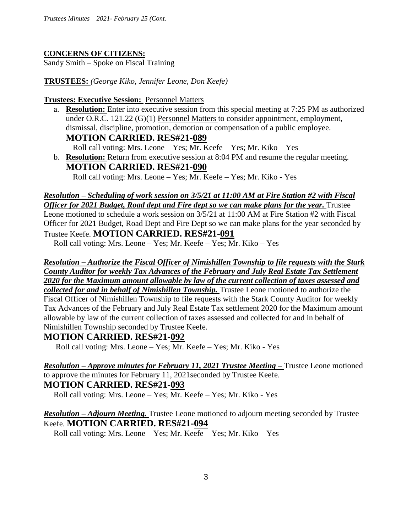#### **CONCERNS OF CITIZENS:**

Sandy Smith – Spoke on Fiscal Training

**TRUSTEES:** *(George Kiko, Jennifer Leone, Don Keefe)*

**Trustees: Executive Session:** Personnel Matters

a. **Resolution:** Enter into executive session from this special meeting at 7:25 PM as authorized under O.R.C. 121.22 (G)(1) Personnel Matters to consider appointment, employment, dismissal, discipline, promotion, demotion or compensation of a public employee. **MOTION CARRIED. RES#21-089**

Roll call voting: Mrs. Leone – Yes; Mr. Keefe – Yes; Mr. Kiko – Yes

b. **Resolution:** Return from executive session at 8:04 PM and resume the regular meeting. **MOTION CARRIED. RES#21-090**

Roll call voting: Mrs. Leone – Yes; Mr. Keefe – Yes; Mr. Kiko - Yes

## *Resolution – Scheduling of work session on 3/5/21 at 11:00 AM at Fire Station #2 with Fiscal Officer for 2021 Budget, Road dept and Fire dept so we can make plans for the year. Trustee* Leone motioned to schedule a work session on 3/5/21 at 11:00 AM at Fire Station #2 with Fiscal Officer for 2021 Budget, Road Dept and Fire Dept so we can make plans for the year seconded by Trustee Keefe. **MOTION CARRIED. RES#21-091**

Roll call voting: Mrs. Leone – Yes; Mr. Keefe – Yes; Mr. Kiko – Yes

# *Resolution – Authorize the Fiscal Officer of Nimishillen Township to file requests with the Stark County Auditor for weekly Tax Advances of the February and July Real Estate Tax Settlement 2020 for the Maximum amount allowable by law of the current collection of taxes assessed and*

*collected for and in behalf of Nimishillen Township.* Trustee Leone motioned to authorize the Fiscal Officer of Nimishillen Township to file requests with the Stark County Auditor for weekly Tax Advances of the February and July Real Estate Tax settlement 2020 for the Maximum amount allowable by law of the current collection of taxes assessed and collected for and in behalf of Nimishillen Township seconded by Trustee Keefe.

## **MOTION CARRIED. RES#21-092**

Roll call voting: Mrs. Leone – Yes; Mr. Keefe – Yes; Mr. Kiko - Yes

*Resolution – Approve minutes for February 11, 2021 Trustee Meeting –* Trustee Leone motioned to approve the minutes for February 11, 2021seconded by Trustee Keefe. **MOTION CARRIED. RES#21-093**

Roll call voting: Mrs. Leone – Yes; Mr. Keefe – Yes; Mr. Kiko - Yes

*Resolution – Adjourn Meeting.* Trustee Leone motioned to adjourn meeting seconded by Trustee Keefe. **MOTION CARRIED. RES#21-094**

Roll call voting: Mrs. Leone – Yes; Mr. Keefe – Yes; Mr. Kiko – Yes